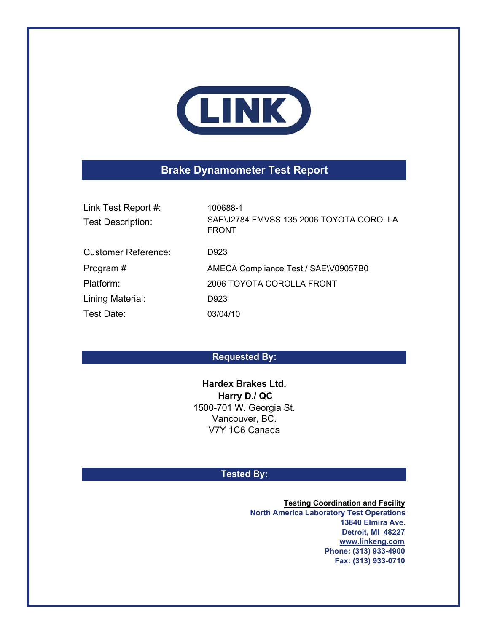

# **Brake Dynamometer Test Report**

| Link Test Report #:<br><b>Test Description:</b> | 100688-1<br>SAE\J2784 FMVSS 135 2006 TOYOTA COROLLA<br><b>FRONT</b> |
|-------------------------------------------------|---------------------------------------------------------------------|
| <b>Customer Reference:</b>                      | D923                                                                |
| Program#                                        | AMECA Compliance Test / SAE\V09057B0                                |
| Platform:                                       | 2006 TOYOTA COROLLA FRONT                                           |
| Lining Material:                                | D923                                                                |
| Test Date:                                      | 03/04/10                                                            |

## **Requested By:**

**Harry D./ QC**  1500-701 W. Georgia St. Vancouver, BC. V7Y 1C6 Canada **Hardex Brakes Ltd.**

### **Tested By:**

**Testing Coordination and Facility North America Laboratory Test Operations 13840 Elmira Ave. Detroit, MI 48227 www.linkeng.com Phone: (313) 933-4900 Fax: (313) 933-0710**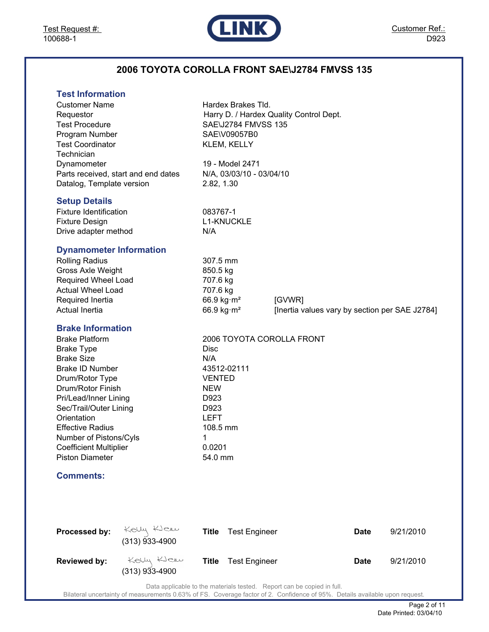

# **2006 TOYOTA COROLLA FRONT SAE\J2784 FMVSS 135**

| <b>Test Information</b> |  |
|-------------------------|--|
|                         |  |

| <b>Customer Name</b><br>Requestor<br><b>Test Procedure</b><br>Program Number<br><b>Test Coordinator</b><br>Technician<br>Dynamometer<br>Datalog, Template version<br><b>Setup Details</b>                                                                                                                                         | Parts received, start and end dates | 2.82, 1.30                                                                                                             | Hardex Brakes Tld.<br><b>SAE\J2784 FMVSS 135</b><br>SAE\V09057B0<br>KLEM, KELLY<br>19 - Model 2471<br>N/A, 03/03/10 - 03/04/10 | Harry D. / Hardex Quality Control Dept.                  |             |           |
|-----------------------------------------------------------------------------------------------------------------------------------------------------------------------------------------------------------------------------------------------------------------------------------------------------------------------------------|-------------------------------------|------------------------------------------------------------------------------------------------------------------------|--------------------------------------------------------------------------------------------------------------------------------|----------------------------------------------------------|-------------|-----------|
| <b>Fixture Identification</b><br><b>Fixture Design</b><br>Drive adapter method                                                                                                                                                                                                                                                    |                                     | 083767-1<br>N/A                                                                                                        | <b>L1-KNUCKLE</b>                                                                                                              |                                                          |             |           |
| <b>Dynamometer Information</b><br><b>Rolling Radius</b><br><b>Gross Axle Weight</b><br>Required Wheel Load<br><b>Actual Wheel Load</b><br>Required Inertia<br><b>Actual Inertia</b>                                                                                                                                               |                                     | 307.5 mm<br>850.5 kg<br>707.6 kg<br>707.6 kg<br>66.9 kg $\cdot$ m <sup>2</sup><br>66.9 kg $\cdot$ m <sup>2</sup>       |                                                                                                                                | [GVWR]<br>[Inertia values vary by section per SAE J2784] |             |           |
| <b>Brake Information</b><br><b>Brake Platform</b><br><b>Brake Type</b><br><b>Brake Size</b><br>Brake ID Number<br>Drum/Rotor Type<br>Drum/Rotor Finish<br>Pri/Lead/Inner Lining<br>Sec/Trail/Outer Lining<br>Orientation<br><b>Effective Radius</b><br>Number of Pistons/Cyls<br><b>Coefficient Multiplier</b><br>Piston Diameter |                                     | <b>Disc</b><br>N/A<br><b>VENTED</b><br><b>NEW</b><br>D923<br>D923<br><b>LEFT</b><br>108.5 mm<br>1<br>0.0201<br>54.0 mm | 43512-02111                                                                                                                    | 2006 TOYOTA COROLLA FRONT                                |             |           |
| <b>Comments:</b>                                                                                                                                                                                                                                                                                                                  |                                     |                                                                                                                        |                                                                                                                                |                                                          |             |           |
|                                                                                                                                                                                                                                                                                                                                   |                                     |                                                                                                                        |                                                                                                                                |                                                          |             |           |
| Processed by:                                                                                                                                                                                                                                                                                                                     | Kelly Klew<br>$(313)$ 933-4900      | <b>Title</b>                                                                                                           | <b>Test Engineer</b>                                                                                                           |                                                          | Date        | 9/21/2010 |
| <b>Reviewed by:</b>                                                                                                                                                                                                                                                                                                               | Kelly Klew<br>$(313)$ 933-4900      | <b>Title</b>                                                                                                           | <b>Test Engineer</b>                                                                                                           |                                                          | <b>Date</b> | 9/21/2010 |

Data applicable to the materials tested. Report can be copied in full.

Bilateral uncertainty of measurements 0.63% of FS. Coverage factor of 2. Confidence of 95%. Details available upon request.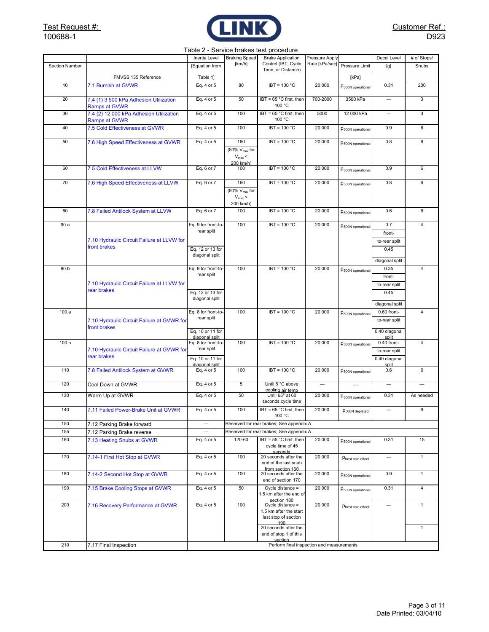

#### Table 2 - Service brakes test procedure

|                |                                                                 | Inertia Level                      | <b>Braking Speed</b>                                         | <b>Brake Application</b>                                                    | Pressure Apply                |                               | Decel Level              | # of Stops/    |
|----------------|-----------------------------------------------------------------|------------------------------------|--------------------------------------------------------------|-----------------------------------------------------------------------------|-------------------------------|-------------------------------|--------------------------|----------------|
| Section Number |                                                                 | [Equation from                     | [km/h]                                                       | Control (IBT, Cycle<br>Time, or Distance)                                   | Rate [kPa/sec] Pressure Limit |                               | [g]                      | Snubs          |
|                | FMVSS 135 Reference                                             | Table 1]                           |                                                              |                                                                             |                               | [kPa]                         |                          |                |
| 10             | 7.1 Burnish at GVWR                                             | Eq. 4 or 5                         | 80                                                           | $IBT = 100 °C$                                                              | 20 000                        | P <sub>500N</sub> operational | 0.31                     | 200            |
|                |                                                                 |                                    |                                                              |                                                                             |                               |                               |                          |                |
| 20             | 7.4 (1) 3 500 kPa Adhesion Utilization<br><b>Ramps at GVWR</b>  | Eq. 4 or 5                         | 50                                                           | IBT = 65 °C first, then<br>100 °C                                           | 700-2000                      | 3500 kPa                      |                          | 3              |
| 30             | 7.4 (2) 12 000 kPa Adhesion Utilization<br><b>Ramps at GVWR</b> | Eq. 4 or 5                         | 100                                                          | IBT = 65 °C first, then<br>100 °C                                           | 5000                          | 12 000 kPa                    | $\overline{\phantom{0}}$ | 3              |
| 40             | 7.5 Cold Effectiveness at GVWR                                  | Eq. 4 or 5                         | 100                                                          | IBT = 100 °C                                                                | 20 000                        | P <sub>500N</sub> operational | 0.9                      | 6              |
| 50             | 7.6 High Speed Effectiveness at GVWR                            | Eq. 4 or 5                         | 160                                                          | $IBT = 100 °C$                                                              | 20 000                        | P500N operational             | 0.8                      | 6              |
|                |                                                                 |                                    | (80% V <sub>max</sub> for<br>$V_{\text{max}}$ <<br>200 km/h) |                                                                             |                               |                               |                          |                |
| 60             | 7.5 Cold Effectiveness at LLVW                                  | Eq. 6 or 7                         | 100                                                          | $IBT = 100 °C$                                                              | 20 000                        | P500N operational             | 0.9                      | 6              |
| 70             | 7.6 High Speed Effectiveness at LLVW                            | Eq. 6 or 7                         | 160                                                          | $IBT = 100 °C$                                                              | 20 000                        | P <sub>500N</sub> operational | 0.8                      | 6              |
|                |                                                                 |                                    | (80% V <sub>max</sub> for<br>$V_{\text{max}}$ <              |                                                                             |                               |                               |                          |                |
|                |                                                                 |                                    | 200 km/h)                                                    |                                                                             |                               |                               |                          |                |
| 80             | 7.8 Failed Antilock System at LLVW                              | Eq. 6 or 7                         | 100                                                          | $IBT = 100 °C$                                                              | 20 000                        | P <sub>500N</sub> operational | 0.6                      | 6              |
| 90.a           |                                                                 | Eq. 9 for front-to-                | 100                                                          | $IBT = 100 °C$                                                              | 20 000                        | P <sub>500N</sub> operational | 0.7                      | 4              |
|                |                                                                 | rear split                         |                                                              |                                                                             |                               |                               | front-                   |                |
|                | 7.10 Hydraulic Circuit Failure at LLVW for<br>front brakes      |                                    |                                                              |                                                                             |                               |                               | to-rear split            |                |
|                |                                                                 | Eq. 12 or 13 for<br>diagonal split |                                                              |                                                                             |                               |                               | 0.45                     |                |
|                |                                                                 |                                    |                                                              |                                                                             |                               |                               | diagonal split           |                |
| 90.b           |                                                                 | Eq. 9 for front-to-                | 100                                                          | $IBT = 100 °C$                                                              | 20 000                        | P500N operational             | 0.35                     | $\overline{4}$ |
|                |                                                                 | rear split                         |                                                              |                                                                             |                               |                               | front-                   |                |
|                | 7.10 Hydraulic Circuit Failure at LLVW for                      |                                    |                                                              |                                                                             |                               |                               | to-rear split            |                |
|                | rear brakes                                                     | Eq. 12 or 13 for                   |                                                              |                                                                             |                               |                               | 0.45                     |                |
|                |                                                                 | diagonal split                     |                                                              |                                                                             |                               |                               | diagonal split           |                |
| 100.a          |                                                                 | Eq. 8 for front-to-                | 100                                                          | $IBT = 100 °C$                                                              | 20 000                        | P <sub>500N</sub> operational | 0.60 front-              | 4              |
|                | 7.10 Hydraulic Circuit Failure at GVWR for                      | rear split                         |                                                              |                                                                             |                               |                               | to-rear split            |                |
|                | front brakes                                                    | Eq. 10 or 11 for                   |                                                              |                                                                             |                               |                               | 0.40 diagonal            |                |
|                |                                                                 | diagonal split                     |                                                              |                                                                             |                               |                               | split                    |                |
| 100.b          |                                                                 | Eq. 8 for front-to-<br>rear split  | 100                                                          | $IBT = 100 °C$                                                              | 20 000                        | P <sub>500N</sub> operational | 0.40 front-              | 4              |
|                | 7.10 Hydraulic Circuit Failure at GVWR for<br>rear brakes       |                                    |                                                              |                                                                             |                               |                               | to-rear split            |                |
|                |                                                                 | Eq. 10 or 11 for<br>diagonal split |                                                              |                                                                             |                               |                               | 0.40 diagonal<br>split   |                |
| 110            | 7.8 Failed Antilock System at GVWR                              | Eq. 4 or 5                         | 100                                                          | $IBT = 100 °C$                                                              | 20 000                        | P <sub>500N</sub> operational | 0.6                      | 6              |
| 120            | Cool Down at GVWR                                               | Eq. 4 or 5                         | 5                                                            | Until 5 °C above                                                            |                               |                               | $\overline{\phantom{0}}$ |                |
| 130            | Warm Up at GVWR                                                 | Eq. 4 or 5                         | 50                                                           | cooling air temp<br>Until 65° at 60                                         | 20 000                        | P <sub>500N</sub> operational | 0.31                     | As needed      |
|                |                                                                 |                                    |                                                              | seconds cycle time                                                          |                               |                               |                          |                |
| 140            | 7.11 Failed Power-Brake Unit at GVWR                            | Eq. 4 or 5                         | 100                                                          | IBT = $65^{\circ}$ C first, then<br>100 °C                                  | 20 000                        | P <sub>500N</sub> depleted    | $\overline{\phantom{0}}$ | 6              |
| 150            | 7.12 Parking Brake forward                                      |                                    |                                                              | Reserved for rear brakes; See appendix A                                    |                               |                               |                          |                |
| 155            | 7.12 Parking Brake reverse                                      |                                    |                                                              | Reserved for rear brakes; See appendix A                                    |                               |                               |                          |                |
| 160            | 7.13 Heating Snubs at GVWR                                      | Eq. 4 or 5                         | 120-60                                                       | IBT = 55 °C first, then<br>cycle time of 45                                 | 20 000                        | P <sub>500N</sub> operational | 0.31                     | 15             |
| 170            | 7.14-1 First Hot Stop at GVWR                                   | Eq. 4 or 5                         | 100                                                          | seconds<br>20 seconds after the<br>end of the last snub<br>from section 160 | 20 000                        | Pbest cold effect             |                          | 1              |
| 180            | 7.14-2 Second Hot Stop at GVWR                                  | Eq. 4 or 5                         | 100                                                          | 20 seconds after the<br>end of section 170                                  | 20 000                        | P <sub>500N</sub> operational | 0.9                      | $\mathbf{1}$   |
| 190            | 7.15 Brake Cooling Stops at GVWR                                | Eq. 4 or 5                         | 50                                                           | $C$ ycle distance =<br>1.5 km after the end of<br>section 180               | 20 000                        | P <sub>500N</sub> operational | 0.31                     | $\overline{4}$ |
| 200            | 7.16 Recovery Performance at GVWR                               | Eq. 4 or 5                         | 100                                                          | Cycle distance $=$                                                          | 20 000                        | Pbest cold effect             | $\overline{\phantom{0}}$ | $\mathbf{1}$   |
|                |                                                                 |                                    |                                                              | 1.5 km after the start                                                      |                               |                               |                          |                |
|                |                                                                 |                                    |                                                              | last stop of section<br>190                                                 |                               |                               |                          |                |
|                |                                                                 |                                    |                                                              | 20 seconds after the                                                        |                               |                               |                          | $\mathbf{1}$   |
|                |                                                                 |                                    |                                                              | end of stop 1 of this<br>section                                            |                               |                               |                          |                |
| 210            | 7.17 Final Inspection                                           |                                    |                                                              | Perform final inspection and measurements                                   |                               |                               |                          |                |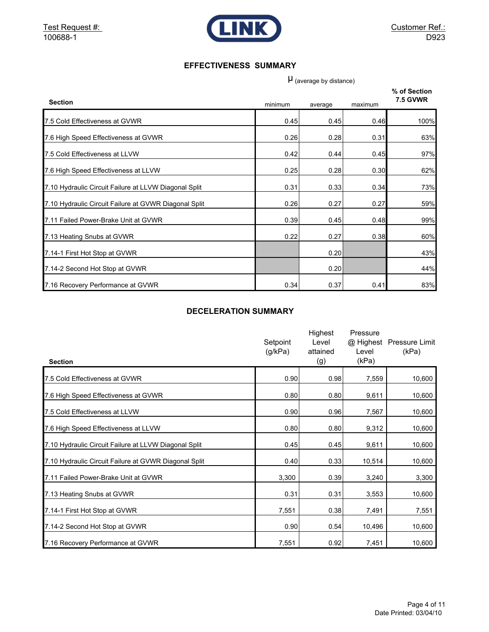

#### **EFFECTIVENESS SUMMARY**

 $\mu$  (average by distance)

| <b>Section</b>                                        | minimum | average | maximum | % of Section<br><b>7.5 GVWR</b> |
|-------------------------------------------------------|---------|---------|---------|---------------------------------|
| 7.5 Cold Effectiveness at GVWR                        | 0.45    | 0.45    | 0.46    | 100%                            |
| 7.6 High Speed Effectiveness at GVWR                  | 0.26    | 0.28    | 0.31    | 63%                             |
| 7.5 Cold Effectiveness at LLVW                        | 0.42    | 0.44    | 0.45    | 97%                             |
| 7.6 High Speed Effectiveness at LLVW                  | 0.25    | 0.28    | 0.30    | 62%                             |
| 7.10 Hydraulic Circuit Failure at LLVW Diagonal Split | 0.31    | 0.33    | 0.34    | 73%                             |
| 7.10 Hydraulic Circuit Failure at GVWR Diagonal Split | 0.26    | 0.27    | 0.27    | 59%                             |
| 7.11 Failed Power-Brake Unit at GVWR                  | 0.39    | 0.45    | 0.48    | 99%                             |
| 7.13 Heating Snubs at GVWR                            | 0.22    | 0.27    | 0.38    | 60%                             |
| 7.14-1 First Hot Stop at GVWR                         |         | 0.20    |         | 43%                             |
| 7.14-2 Second Hot Stop at GVWR                        |         | 0.20    |         | 44%                             |
| 7.16 Recovery Performance at GVWR                     | 0.34    | 0.37    | 0.41    | 83%                             |

### **DECELERATION SUMMARY**

| <b>Section</b>                                        | Setpoint<br>(g/kPa) | Highest<br>Level<br>attained<br>(g) | Pressure<br>Level<br>(kPa) | @ Highest Pressure Limit<br>(kPa) |
|-------------------------------------------------------|---------------------|-------------------------------------|----------------------------|-----------------------------------|
| 7.5 Cold Effectiveness at GVWR                        | 0.90                | 0.98                                | 7,559                      | 10,600                            |
| 7.6 High Speed Effectiveness at GVWR                  | 0.80                | 0.80                                | 9,611                      | 10,600                            |
| 7.5 Cold Effectiveness at LLVW                        | 0.90                | 0.96                                | 7,567                      | 10,600                            |
| 7.6 High Speed Effectiveness at LLVW                  | 0.80                | 0.80                                | 9,312                      | 10,600                            |
| 7.10 Hydraulic Circuit Failure at LLVW Diagonal Split | 0.45                | 0.45                                | 9,611                      | 10,600                            |
| 7.10 Hydraulic Circuit Failure at GVWR Diagonal Split | 0.40                | 0.33                                | 10,514                     | 10,600                            |
| 7.11 Failed Power-Brake Unit at GVWR                  | 3,300               | 0.39                                | 3,240                      | 3,300                             |
| 7.13 Heating Snubs at GVWR                            | 0.31                | 0.31                                | 3,553                      | 10,600                            |
| 7.14-1 First Hot Stop at GVWR                         | 7,551               | 0.38                                | 7,491                      | 7,551                             |
| 7.14-2 Second Hot Stop at GVWR                        | 0.90                | 0.54                                | 10,496                     | 10,600                            |
| 7.16 Recovery Performance at GVWR                     | 7,551               | 0.92                                | 7,451                      | 10,600                            |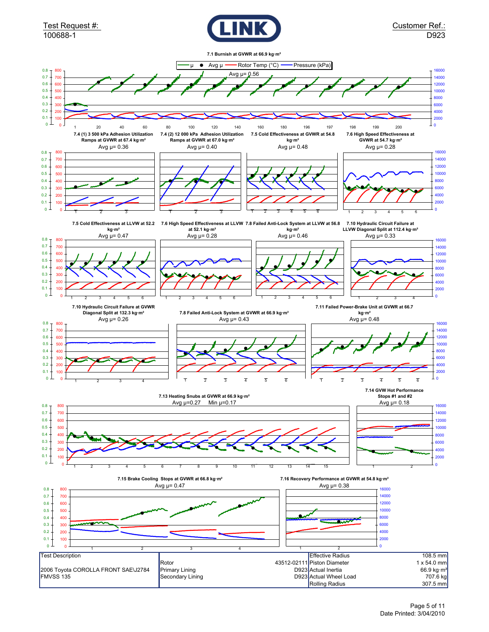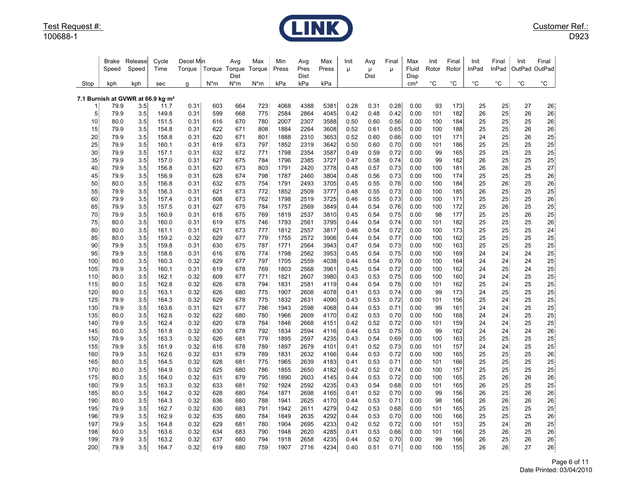

|            | Brake<br>Speed | Release<br>Speed                                     | Cycle<br>Time  | Decel Min<br>Torque |            | Avg<br>Torque Torque<br>Dist | Max<br>Torque | Min<br>Press | Avg<br>Pres<br>Dist | Max<br>Press | Init<br>$\mu$ | Avg<br>μ<br>Dist | Final<br>u   | Max<br>Fluid<br>Disp | Init<br>Rotor | Final<br>Rotor | Init<br>InPad | Final<br>InPad | Init<br>OutPad OutPad | Final        |
|------------|----------------|------------------------------------------------------|----------------|---------------------|------------|------------------------------|---------------|--------------|---------------------|--------------|---------------|------------------|--------------|----------------------|---------------|----------------|---------------|----------------|-----------------------|--------------|
| Stop       | kph            | kph                                                  | sec            | g                   | $N^*m$     | $N^*m$                       | $N^*m$        | kPa          | kPa                 | kPa          |               |                  |              | cm <sup>3</sup>      | $^{\circ}C$   | $^{\circ}C$    | $^{\circ}C$   | $^{\circ}$ C   | $^{\circ}{\rm C}$     | $^{\circ}$ C |
|            |                |                                                      |                |                     |            |                              |               |              |                     |              |               |                  |              |                      |               |                |               |                |                       |              |
|            | 79.9           | 7.1 Burnish at GVWR at 66.9 kg·m <sup>2</sup><br>3.5 | 11.7           | 0.31                | 603        | 664                          | 723           | 4068         | 4388                | 5381         | 0.28          | 0.31             | 0.28         | 0.00                 | 93            | 173            | 25            | 25             | 27                    | 26           |
| 5          | 79.9           | 3.5                                                  | 149.8          | 0.31                | 599        | 668                          | 775           | 2584         | 2864                | 4045         | 0.42          | 0.48             | 0.42         | 0.00                 | 101           | 182            | 26            | 25             | 26                    | 26           |
| 10         | 80.0           | 3.5                                                  | 151.5          | 0.31                | 616        | 670                          | 780           | 2007         | 2307                | 3588         | 0.50          | 0.60             | 0.56         | 0.00                 | 100           | 184            | 25            | 25             | 25                    | 26           |
| 15         | 79.9           | 3.5                                                  | 154.8          | 0.31                | 622        | 671                          | 808           | 1884         | 2264                | 3608         | 0.52          | 0.61             | 0.65         | 0.00                 | 100           | 188            | 25            | 25             | 26                    | 26           |
| 20         | 79.9           | 3.5                                                  | 158.8          | 0.31                | 620        | 671                          | 801           | 1888         | 2310                | 3653         | 0.52          | 0.60             | 0.66         | 0.00                 | 101           | 171            | 24            | 25             | 26                    | 25           |
| 25         | 79.9           | 3.5                                                  | 160.1          | 0.31                | 619        | 673                          | 797           | 1852         | 2319                | 3642         | 0.50          | 0.60             | 0.70         | 0.00                 | 101           | 186            | 25            | 25             | 25                    | 25           |
| 30         | 79.9           | 3.5                                                  | 157.1          | 0.31                | 632        | 672                          | 771           | 1798         | 2354                | 3587         | 0.49          | 0.59             | 0.72         | 0.00                 | 99            | 165            | 25            | 25             | 25                    | 25           |
| 35         | 79.9           | 3.5                                                  | 157.0          | 0.31                | 627        | 675                          | 784           | 1796         | 2385                | 3727         | 0.47          | 0.58             | 0.74         | 0.00                 | 99            | 182            | 26            | 25             | 25                    | 25           |
| 40         | 79.9           | 3.5                                                  | 156.8          | 0.31                | 620        | 673                          | 803           | 1791         | 2420                | 3778         | 0.48          | 0.57             | 0.73         | 0.00                 | 100           | 181            | 26            | 26             | 25                    | 27           |
| 45         | 79.9           | 3.5                                                  | 156.9          | 0.31                | 628        | 674                          | 798           | 1787         | 2460                | 3804         | 0.48          | 0.56             | 0.73         | 0.00                 | 100           | 174            | 25            | 25             | 25                    | 26           |
| 50         | 80.0           | 3.5                                                  | 156.8          | 0.31                | 632        | 675                          | 754           | 1791         | 2493                | 3705         | 0.45          | 0.55             | 0.76         | 0.00                 | 100           | 184            | 25            | 26             | 25                    | 26           |
| 55         | 79.9           | 3.5                                                  | 156.3          | 0.31                | 621        | 673                          | 772           | 1852         | 2509                | 3777         | 0.48          | 0.55             | 0.73         | 0.00                 | 100           | 185            | 26            | 25             | 25                    | 25           |
| 60         | 79.9           | 3.5                                                  | 157.4          | 0.31                | 608        | 673                          | 762           | 1798         | 2519                | 3725         | 0.46          | 0.55             | 0.73         | 0.00                 | 100           | 171            | 25            | 25             | 25                    | 26           |
| 65         | 79.9           | 3.5                                                  | 157.5          | 0.31                | 627        | 675                          | 784           | 1757         | 2569                | 3849         | 0.44          | 0.54             | 0.76         | 0.00                 | 100           | 172            | 25            | 26             | 25                    | 25           |
| 70         | 79.9           | 3.5                                                  | 160.9          | 0.31                | 618        | 675                          | 769           | 1819         | 2537                | 3810         | 0.45          | 0.54             | 0.75         | 0.00                 | 98            | 177            | 25            | 25             | 26                    | 25           |
| 75         | 80.0           | 3.5                                                  | 160.0          | 0.31                | 619        | 675                          | 746           | 1793         | 2561                | 3795         | 0.44          | 0.54             | 0.74         | 0.00                 | 101           | 182            | 25            | 25             | 25                    | 26           |
| 80         | 80.0           | 3.5                                                  | 161.1          | 0.31                | 621        | 673                          | 777           | 1812         | 2557                | 3817         | 0.46          | 0.54             | 0.72         | 0.00                 | 100           | 173            | 25            | 25             | 25                    | 24           |
| 85         | 80.0           | 3.5                                                  | 159.2          | 0.32                | 629        | 677                          | 779           | 1755         | 2572                | 3906         | 0.44          | 0.54             | 0.77         | 0.00                 | 100           | 162            | 25            | 25             | 25                    | 25           |
| 90         | 79.9           | 3.5                                                  | 159.8          | 0.31                | 630        | 675                          | 787           | 1771         | 2564                | 3943         | 0.47          | 0.54             | 0.73         | 0.00                 | 100           | 163            | 25            | 25             | 25                    | 25           |
| 95         | 79.9           | 3.5                                                  | 158.6          | 0.31                | 616        | 676                          | 774           | 1798         | 2562                | 3953         | 0.45          | 0.54             | 0.75         | 0.00                 | 100           | 169            | 24            | 24             | 24                    | 25           |
| 100        | 80.0           | 3.5                                                  | 160.3          | 0.32                | 629        | 677                          | 797           | 1705         | 2559                | 4038         | 0.44          | 0.54             | 0.79         | 0.00                 | 100           | 164            | 24            | 24             | 24                    | 25           |
| 105        | 79.9           | 3.5                                                  | 160.1          | 0.31                | 619        | 678                          | 769           | 1803         | 2568                | 3961         | 0.45          | 0.54             | 0.72         | 0.00                 | 100           | 162            | 24            | 25             | 24                    | 25           |
| 110        | 80.0           | 3.5                                                  | 162.1          | 0.32                | 609        | 677                          | 771           | 1821         | 2607                | 3980         | 0.43          | 0.53             | 0.75         | 0.00                 | 100           | 160            | 24            | 24             | 25                    | 25           |
| 115<br>120 | 80.0<br>80.0   | 3.5<br>3.5                                           | 162.8<br>163.1 | 0.32                | 626<br>626 | 678<br>680                   | 794<br>775    | 1831<br>1907 | 2581<br>2608        | 4119<br>4078 | 0.44<br>0.41  | 0.54<br>0.53     | 0.76<br>0.74 | 0.00<br>0.00         | 101<br>99     | 162<br>173     | 25<br>24      | 24<br>25       | 25<br>25              | 25<br>25     |
| 125        | 79.9           | 3.5                                                  | 164.3          | 0.32<br>0.32        | 629        | 678                          | 775           | 1832         | 2631                | 4090         | 0.43          | 0.53             | 0.72         | 0.00                 | 101           | 156            | 25            | 24             | 25                    | 25           |
| 130        | 79.9           | 3.5                                                  | 163.6          | 0.31                | 621        | 677                          | 786           | 1943         | 2598                | 4068         | 0.44          | 0.53             | 0.71         | 0.00                 | 99            | 161            | 24            | 24             | 25                    | 25           |
| 135        | 80.0           | 3.5                                                  | 162.6          | 0.32                | 622        | 680                          | 780           | 1966         | 2609                | 4170         | 0.42          | 0.53             | 0.70         | 0.00                 | 100           | 168            | 24            | 24             | 25                    | 25           |
| 140        | 79.9           | 3.5                                                  | 162.4          | 0.32                | 620        | 678                          | 764           | 1846         | 2668                | 4151         | 0.42          | 0.52             | 0.72         | 0.00                 | 101           | 159            | 24            | 24             | 25                    | 25           |
| 145        | 80.0           | 3.5                                                  | 161.8          | 0.32                | 630        | 678                          | 792           | 1834         | 2594                | 4116         | 0.44          | 0.53             | 0.75         | 0.00                 | 99            | 162            | 24            | 24             | 24                    | 26           |
| 150        | 79.9           | 3.5                                                  | 163.3          | 0.32                | 626        | 681                          | 779           | 1895         | 2597                | 4235         | 0.43          | 0.54             | 0.69         | 0.00                 | 100           | 163            | 25            | 25             | 25                    | 25           |
| 155        | 79.9           | 3.5                                                  | 161.9          | 0.32                | 616        | 678                          | 789           | 1897         | 2679                | 4101         | 0.41          | 0.52             | 0.73         | 0.00                 | 101           | 157            | 24            | 24             | 25                    | 25           |
| 160        | 79.9           | 3.5                                                  | 162.6          | 0.32                | 631        | 679                          | 789           | 1831         | 2632                | 4166         | 0.44          | 0.53             | 0.72         | 0.00                 | 100           | 165            | 25            | 25             | 25                    | 26           |
| 165        | 80.0           | 3.5                                                  | 164.5          | 0.32                | 628        | 681                          | 775           | 1965         | 2639                | 4183         | 0.41          | 0.53             | 0.71         | 0.00                 | 101           | 166            | 25            | 25             | 25                    | 25           |
| 170        | 80.0           | 3.5                                                  | 164.9          | 0.32                | 625        | 680                          | 786           | 1855         | 2650                | 4182         | 0.42          | 0.52             | 0.74         | 0.00                 | 100           | 157            | 25            | 25             | 25                    | 25           |
| 175        | 80.0           | 3.5                                                  | 164.0          | 0.32                | 631        | 679                          | 795           | 1890         | 2603                | 4145         | 0.44          | 0.53             | 0.72         | 0.00                 | 100           | 165            | 25            | 26             | 26                    | 26           |
| 180        | 79.9           | 3.5                                                  | 163.3          | 0.32                | 633        | 681                          | 792           | 1924         | 2592                | 4235         | 0.43          | 0.54             | 0.68         | 0.00                 | 101           | 165            | 26            | 25             | 25                    | 25           |
| 185        | 80.0           | 3.5                                                  | 164.2          | 0.32                | 628        | 680                          | 764           | 1871         | 2698                | 4165         | 0.41          | 0.52             | 0.70         | 0.00                 | 99            | 156            | 26            | 25             | 26                    | 26           |
| 190        | 80.0           | 3.5                                                  | 164.3          | 0.32                | 636        | 680                          | 788           | 1941         | 2625                | 4170         | 0.44          | 0.53             | 0.71         | 0.00                 | 98            | 166            | 26            | 26             | 26                    | 26           |
| 195        | 79.9           | 3.5                                                  | 162.7          | 0.32                | 630        | 683                          | 791           | 1942         | 2611                | 4279         | 0.42          | 0.53             | 0.68         | 0.00                 | 101           | 165            | 25            | 25             | 25                    | 25           |
| 196        | 79.9           | 3.5                                                  | 162.9          | 0.32                | 635        | 680                          | 784           | 1849         | 2635                | 4292         | 0.44          | 0.53             | 0.70         | 0.00                 | 100           | 166            | 25            | 25             | 25                    | 26           |
| 197        | 79.9           | 3.5                                                  | 164.8          | 0.32                | 629        | 681                          | 780           | 1904         | 2695                | 4233         | 0.42          | 0.52             | 0.72         | 0.00                 | 101           | 153            | 25            | 24             | 26                    | 25           |
| 198        | 80.0           | 3.5                                                  | 163.6          | 0.32                | 634        | 683                          | 790           | 1948         | 2620                | 4285         | 0.41          | 0.53             | 0.66         | 0.00                 | 101           | 166            | 25            | 26             | 25                    | 26           |
| 199        | 79.9           | 3.5                                                  | 163.2          | 0.32                | 637        | 680                          | 794           | 1918         | 2658                | 4235         | 0.44          | 0.52             | 0.70         | 0.00                 | 99            | 166            | 26            | 25             | 26                    | 26           |
| 200        | 79.9           | 3.5                                                  | 164.7          | 0.32                | 619        | 680                          | 759           | 1907         | 2716                | 4234         | 0.40          | 0.51             | 0.71         | 0.00                 | 100           | 155            | 26            | 26             | 27                    | 26           |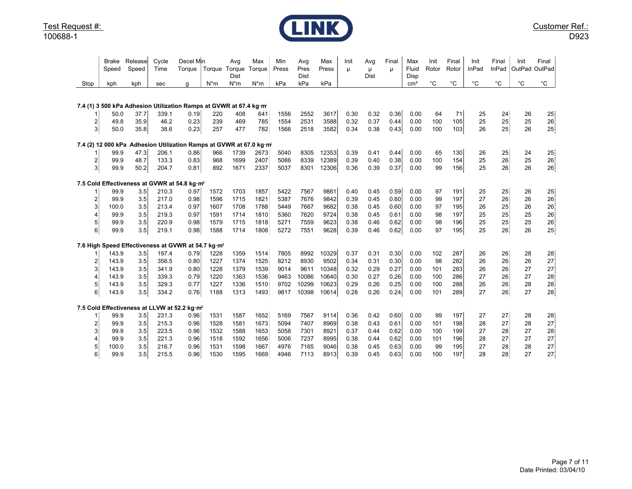

|                | Brake<br>Speed | Release<br>Speed | Cycle<br>Time  | Decel Min<br>Torque                                                | Torque       | Avg<br>Torque<br>Dist | Max<br>Torque | Min<br>Press | Avg<br>Pres<br><b>Dist</b> | Max<br>Press | Init<br>μ    | Avg<br>μ<br>Dist | Final<br>п   | Max<br>Fluid<br>Disp | Init<br>Rotor | Final<br>Rotor | Init<br>InPad | Final<br>InPad | Init<br>OutPad | Final<br>OutPad   |
|----------------|----------------|------------------|----------------|--------------------------------------------------------------------|--------------|-----------------------|---------------|--------------|----------------------------|--------------|--------------|------------------|--------------|----------------------|---------------|----------------|---------------|----------------|----------------|-------------------|
| Stop           | kph            | kph              | sec            | g                                                                  | $N^*m$       | $N^*m$                | $N^*m$        | kPa          | kPa                        | kPa          |              |                  |              | cm <sup>3</sup>      | $^{\circ}C$   | $^{\circ}C$    | $^{\circ}C$   | $^{\circ}C$    | $^{\circ}$ C   | $^{\circ}{\rm C}$ |
|                |                |                  |                |                                                                    |              |                       |               |              |                            |              |              |                  |              |                      |               |                |               |                |                |                   |
|                |                |                  |                | 7.4 (1) 3 500 kPa Adhesion Utilization Ramps at GVWR at 67.4 kg·m  |              |                       |               |              |                            |              |              |                  |              |                      |               |                |               |                |                |                   |
|                | 50.0           | 37.7             | 339.1          | 0.19                                                               | 220          | 408                   | 641           | 1556         | 2552                       | 3617         | 0.30         | 0.32             | 0.36         | 0.00                 | 64            | 71             | 25            | 24             | 26             | 25                |
| 2              | 49.8           | 35.9             | 46.2           | 0.23                                                               | 239          | 469                   | 785           | 1554         | 2531                       | 3588         | 0.32         | 0.37             | 0.44         | 0.00                 | 100           | 105            | 25            | 25             | 25             | 26                |
| 3              | 50.0           | 35.8             | 38.6           | 0.23                                                               | 257          | 477                   | 782           | 1566         | 2518                       | 3582         | 0.34         | 0.38             | 0.43         | 0.00                 | 100           | 103            | 26            | 25             | 26             | 25                |
|                |                |                  |                | 7.4 (2) 12 000 kPa Adhesion Utilization Ramps at GVWR at 67.0 kg·m |              |                       |               |              |                            |              |              |                  |              |                      |               |                |               |                |                |                   |
|                | 99.9           | 47.3             | 206.1          | 0.86                                                               | 966          | 1739                  | 2673          | 5040         | 8305                       | 12353        | 0.39         | 0.41             | 0.44         | 0.00                 | 65            | 130            | 26            | 25             | 24             | 25                |
| $\overline{2}$ | 99.9           | 48.7             | 133.3          | 0.83                                                               | 968          | 1699                  | 2407          | 5086         | 8339                       | 12389        | 0.39         | 0.40             | 0.38         | 0.00                 | 100           | 154            | 25            | 26             | 25             | 26                |
| 3              | 99.9           | 50.2             | 204.7          | 0.81                                                               | 892          | 1671                  | 2337          | 5037         | 8301                       | 12306        | 0.36         | 0.39             | 0.37         | 0.00                 | 99            | 156            | 25            | 26             | 26             | 26                |
|                |                |                  |                | 7.5 Cold Effectiveness at GVWR at 54.8 kg·m2                       |              |                       |               |              |                            |              |              |                  |              |                      |               |                |               |                |                |                   |
|                | 99.9           | 3.5              | 210.3          | 0.97                                                               | 1572         | 1703                  | 1857          | 5422         | 7567                       | 9861         | 0.40         | 0.45             | 0.59         | 0.00                 | 97            | 191            | 25            | 25             | 26             | 25 <sub>1</sub>   |
| $\overline{2}$ | 99.9           | 3.5              | 217.0          | 0.98                                                               | 1596         | 1715                  | 1821          | 5387         | 7676                       | 9842         | 0.39         | 0.45             | 0.60         | 0.00                 | 99            | 197            | 27            | 26             | 26             | 26                |
| 3              | 100.0          | 3.5              | 213.4          | 0.97                                                               | 1607         | 1708                  | 1788          | 5449         | 7667                       | 9682         | 0.38         | 0.45             | 0.60         | 0.00                 | 97            | 195            | 26            | 25             | 26             | 26                |
| 4              | 99.9           | 3.5              | 219.3          | 0.97                                                               | 1591         | 1714                  | 1810          | 5360         | 7620                       | 9724         | 0.38         | 0.45             | 0.61         | 0.00                 | 98            | 197            | 25            | 25             | 25             | 26                |
| 5<br>6         | 99.9           | 3.5<br>3.5       | 220.9<br>219.1 | 0.98                                                               | 1579<br>1588 | 1715<br>1714          | 1818<br>1808  | 5271<br>5272 | 7559<br>7551               | 9623<br>9628 | 0.38<br>0.39 | 0.46<br>0.46     | 0.62<br>0.62 | 0.00                 | 98<br>97      | 196<br>195     | 25<br>25      | 25<br>26       | 25<br>26       | 26                |
|                | 99.9           |                  |                | 0.98                                                               |              |                       |               |              |                            |              |              |                  |              | 0.00                 |               |                |               |                |                | 25                |
|                |                |                  |                | 7.6 High Speed Effectiveness at GVWR at 54.7 kg·m <sup>2</sup>     |              |                       |               |              |                            |              |              |                  |              |                      |               |                |               |                |                |                   |
|                | 143.9          | 3.5              | 197.4          | 0.79                                                               | 1228         | 1359                  | 1514          | 7805         | 8992                       | 10329        | 0.37         | 0.31             | 0.30         | 0.00                 | 102           | 287            | 26            | 26             | 28             | 28                |
| $\overline{2}$ | 143.9          | 3.5              | 356.5          | 0.80                                                               | 1227         | 1374                  | 1525          | 8212         | 8930                       | 9502         | 0.34         | 0.31             | 0.30         | 0.00                 | 98            | 282            | 26            | 26             | 26             | 27                |
| 3              | 143.9          | 3.5              | 341.9          | 0.80                                                               | 1228         | 1379                  | 1539          | 9014         | 9611                       | 10348        | 0.32         | 0.29             | 0.27         | 0.00                 | 101           | 283            | 26            | 26             | 27             | 27                |
| 4              | 143.9          | 3.5              | 339.3          | 0.79                                                               | 1220         | 1363                  | 1536          | 9463         | 10086                      | 10640        | 0.30         | 0.27             | 0.26         | 0.00                 | 100           | 286            | 27            | 26             | 27             | 28                |
| 5              | 143.9          | 3.5              | 329.3          | 0.77                                                               | 1227         | 1336                  | 1510          | 9702         | 10299                      | 10623        | 0.29         | 0.26             | 0.25         | 0.00                 | 100           | 288            | 26            | 26             | 28             | 28                |
| 6              | 143.9          | 3.5              | 334.2          | 0.76                                                               | 1188         | 1313                  | 1493          | 9817         | 10398                      | 10614        | 0.28         | 0.26             | 0.24         | 0.00                 | 101           | 289            | 27            | 26             | 27             | 28                |
|                |                |                  |                | 7.5 Cold Effectiveness at LLVW at 52.2 kg·m <sup>2</sup>           |              |                       |               |              |                            |              |              |                  |              |                      |               |                |               |                |                |                   |
|                | 99.9           | 3.5              | 231.3          | 0.96                                                               | 1531         | 1587                  | 1652          | 5169         | 7567                       | 9114         | 0.36         | 0.42             | 0.60         | 0.00                 | 99            | 197            | 27            | 27             | 28             | 28                |
| $\overline{c}$ | 99.9           | 3.5              | 215.3          | 0.96                                                               | 1528         | 1581                  | 1673          | 5094         | 7407                       | 8969         | 0.38         | 0.43             | 0.61         | 0.00                 | 101           | 198            | 28            | 27             | 28             | 27                |
| 3              | 99.9           | 3.5              | 223.5          | 0.96                                                               | 1532         | 1588                  | 1653          | 5058         | 7301                       | 8921         | 0.37         | 0.44             | 0.62         | 0.00                 | 100           | 199            | 27            | 28             | 27             | 28                |
| 4              | 99.9           | 3.5              | 221.3          | 0.96                                                               | 1518         | 1592                  | 1656          | 5006         | 7237                       | 8995         | 0.38         | 0.44             | 0.62         | 0.00                 | 101           | 196            | 28            | 27             | 27             | 27                |
| 5              | 100.0          | 3.5              | 216.7          | 0.96                                                               | 1531         | 1598                  | 1667          | 4976         | 7165                       | 9046         | 0.38         | 0.45             | 0.63         | 0.00                 | 99            | 195            | 27            | 28             | 28             | 27                |
| 6              | 99.9           | 3.5              | 215.5          | 0.96                                                               | 1530         | 1595                  | 1669          | 4946         | 7113                       | 8913         | 0.39         | 0.45             | 0.63         | 0.00                 | 100           | 197            | 28            | 28             | 27             | 27                |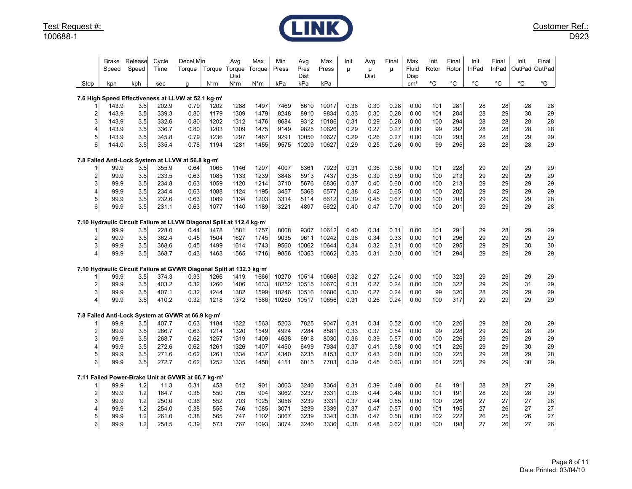

|                         | Brake<br>Speed                         | Release<br>Speed | Cycle<br>Time  | Decel Min<br>Torque                                                 | Torque       | Avg<br>Torque                             | Max<br>Torque | Min<br>Press | Avg<br>Pres  | Max<br>Press  | Init<br>μ    | Avg<br>μ     | Final<br>μ   | Max<br>Fluid            | Init<br>Rotor | Final<br>Rotor | Init<br>InPad | Final<br>InPad    | Init<br>OutPad OutPad | Final    |
|-------------------------|----------------------------------------|------------------|----------------|---------------------------------------------------------------------|--------------|-------------------------------------------|---------------|--------------|--------------|---------------|--------------|--------------|--------------|-------------------------|---------------|----------------|---------------|-------------------|-----------------------|----------|
| Stop                    | kph                                    | kph              | sec            | g                                                                   | $N^*m$       | Dist<br>N*m                               | N*m           | kPa          | Dist<br>kPa  | kPa           |              | Dist         |              | Disp<br>cm <sup>3</sup> | °C            | $^{\circ}$ C   | $^{\circ}$ C  | $^{\circ}{\rm C}$ | $^{\circ}C$           | °C       |
|                         |                                        |                  |                |                                                                     |              |                                           |               |              |              |               |              |              |              |                         |               |                |               |                   |                       |          |
|                         |                                        |                  |                | 7.6 High Speed Effectiveness at LLVW at 52.1 kg·m <sup>2</sup>      |              |                                           |               |              |              |               |              |              |              |                         |               |                |               |                   |                       |          |
| $\overline{2}$          | 143.9<br>143.9                         | 3.5<br>3.5       | 202.9<br>339.3 | 0.79<br>0.80                                                        | 1202<br>1179 | 1288<br>1309                              | 1497<br>1479  | 7469<br>8248 | 8610<br>8910 | 10017<br>9834 | 0.36<br>0.33 | 0.30<br>0.30 | 0.28<br>0.28 | 0.00<br>0.00            | 101<br>101    | 281<br>284     | 28<br>28      | 28<br>29          | 28<br>30              | 28<br>29 |
| 3                       | 143.9                                  | 3.5              | 332.6          | 0.80                                                                | 1202         | 1312                                      | 1476          | 8684         | 9312         | 10186         | 0.31         | 0.29         | 0.28         | 0.00                    | 100           | 294            | 28            | 28                | 28                    | 28       |
| 4                       | 143.9                                  | 3.5              | 336.7          | 0.80                                                                | 1203         | 1309                                      | 1475          | 9149         | 9825         | 10626         | 0.29         | 0.27         | 0.27         | 0.00                    | 99            | 292            | 28            | 28                | 28                    | 28       |
| 5                       | 143.9                                  | 3.5              | 345.8          | 0.79                                                                | 1236         | 1297                                      | 1467          | 9291         | 10050        | 10627         | 0.29         | 0.26         | 0.27         | 0.00                    | 100           | 293            | 28            | 28                | 29                    | 29       |
| 6                       | 144.0                                  | 3.5              | 335.4          | 0.78                                                                | 1194         | 1281                                      | 1455          | 9575         | 10209        | 10627         | 0.29         | 0.25         | 0.26         | 0.00                    | 99            | 295            | 28            | 28                | 28                    | 29       |
|                         |                                        |                  |                |                                                                     |              |                                           |               |              |              |               |              |              |              |                         |               |                |               |                   |                       |          |
|                         | 99.9                                   | 3.5              | 355.9          | 7.8 Failed Anti-Lock System at LLVW at 56.8 kg·m-<br>0.64           | 1065         | 1146                                      | 1297          | 4007         | 6361         | 7923          | 0.31         | 0.36         | 0.56         | 0.00                    | 101           | 228            | 29            | 29                | 29                    | 29       |
| $\overline{\mathbf{c}}$ | 99.9                                   | 3.5              | 233.5          | 0.63                                                                | 1085         | 1133                                      | 1239          | 3848         | 5913         | 7437          | 0.35         | 0.39         | 0.59         | 0.00                    | 100           | 213            | 29            | 29                | 29                    | 29       |
| 3                       | 99.9                                   | 3.5              | 234.8          | 0.63                                                                | 1059         | 1120                                      | 1214          | 3710         | 5676         | 6836          | 0.37         | 0.40         | 0.60         | 0.00                    | 100           | 213            | 29            | 29                | 29                    | 29       |
| 4                       | 99.9                                   | 3.5              | 234.4          | 0.63                                                                | 1088         | 1124                                      | 1195          | 3457         | 5368         | 6577          | 0.38         | 0.42         | 0.65         | 0.00                    | 100           | 202            | 29            | 29                | 29                    | 29       |
| 5                       | 99.9                                   | 3.5              | 232.6          | 0.63                                                                | 1089         | 1134                                      | 1203          | 3314         | 5114         | 6612          | 0.39         | 0.45         | 0.67         | 0.00                    | 100           | 203            | 29            | 29                | 29                    | 28       |
| 6                       | 99.9                                   | 3.5              | 231.1          | 0.63                                                                | 1077         | 1140                                      | 1189          | 3221         | 4897         | 6622          | 0.40         | 0.47         | 0.70         | 0.00                    | 100           | 201            | 29            | 29                | 29                    | 28       |
|                         | 7.10 Hydraulic Circuit Failure at LLVW |                  |                |                                                                     |              | Diagonal Split at 112.4 kg·m <sup>2</sup> |               |              |              |               |              |              |              |                         |               |                |               |                   |                       |          |
|                         | 99.9                                   | 3.5              | 228.0          | 0.44                                                                | 1478         | 1581                                      | 1757          | 8068         | 9307         | 10612         | 0.40         | 0.34         | 0.31         | 0.00                    | 101           | 291            | 29            | 28                | 29                    | 29       |
| $\overline{a}$          | 99.9                                   | 3.5              | 362.4          | 0.45                                                                | 1504         | 1627                                      | 1745          | 9035         | 9611         | 10242         | 0.36         | 0.34         | 0.33         | 0.00                    | 101           | 296            | 29            | 29                | 29                    | 29       |
| 3                       | 99.9                                   | 3.5              | 368.6          | 0.45                                                                | 1499         | 1614                                      | 1743          | 9560         | 10062        | 10644         | 0.34         | 0.32         | 0.31         | 0.00                    | 100           | 295            | 29            | 29                | 30                    | $30\,$   |
| $\overline{4}$          | 99.9                                   | 3.5              | 368.7          | 0.43                                                                | 1463         | 1565                                      | 1716          | 9856         | 10363        | 10662         | 0.33         | 0.31         | 0.30         | 0.00                    | 101           | 294            | 29            | 29                | 29                    | 29       |
|                         |                                        |                  |                | 7.10 Hydraulic Circuit Failure at GVWR Diagonal Split at 132.3 kg·m |              |                                           |               |              |              |               |              |              |              |                         |               |                |               |                   |                       |          |
|                         | 99.9                                   | 3.5              | 374.3          | 0.33                                                                | 1266         | 1419                                      | 1666          | 10270        | 10514        | 10668         | 0.32         | 0.27         | 0.24         | 0.00                    | 100           | 323            | 29            | 29                | 29                    | 29       |
| $\overline{2}$          | 99.9                                   | 3.5              | 403.2          | 0.32                                                                | 1260         | 1406                                      | 1633          | 10252        | 10515        | 10670         | 0.31         | 0.27         | 0.24         | 0.00                    | 100           | 322            | 29            | 29                | 31                    | 29       |
| 3                       | 99.9                                   | 3.5              | 407.1          | 0.32                                                                | 1244         | 1382                                      | 1599          | 10246        | 10516        | 10686         | 0.30         | 0.27         | 0.24         | 0.00                    | 99            | 320            | 28            | 29                | 29                    | 29       |
| $\overline{4}$          | 99.9                                   | 3.5              | 410.2          | 0.32                                                                | 1218         | 1372                                      | 1586          | 10260        | 10517        | 10656         | 0.31         | 0.26         | 0.24         | 0.00                    | 100           | 317            | 29            | 29                | 29                    | 29       |
|                         |                                        |                  |                | 7.8 Failed Anti-Lock System at GVWR at 66.9 kg·m2                   |              |                                           |               |              |              |               |              |              |              |                         |               |                |               |                   |                       |          |
|                         | 99.9                                   | 3.5              | 407.7          | 0.63                                                                | 1184         | 1322                                      | 1563          | 5203         | 7825         | 9047          | 0.31         | 0.34         | 0.52         | 0.00                    | 100           | 226            | 29            | 28                | 28                    | 29       |
| 2                       | 99.9                                   | 3.5              | 266.7          | 0.63                                                                | 1214         | 1320                                      | 1549          | 4924         | 7284         | 8581          | 0.33         | 0.37         | 0.54         | 0.00                    | 99            | 228            | 29            | 29                | 28                    | 29       |
| 3                       | 99.9                                   | 3.5              | 268.7          | 0.62                                                                | 1257         | 1319                                      | 1409          | 4638         | 6918         | 8030          | 0.36         | 0.39         | 0.57         | 0.00                    | 100           | 226            | 29            | 29                | 29                    | 29       |
| 4                       | 99.9                                   | 3.5              | 272.6          | 0.62                                                                | 1261         | 1326                                      | 1407          | 4450         | 6499         | 7934          | 0.37         | 0.41         | 0.58         | 0.00                    | 101           | 226            | 29            | 29                | 30                    | 29       |
| 5                       | 99.9                                   | 3.5              | 271.6          | 0.62                                                                | 1261         | 1334                                      | 1437          | 4340         | 6235         | 8153          | 0.37         | 0.43         | 0.60         | 0.00                    | 100           | 225            | 29            | 28                | 29                    | 28       |
| $6 \mid$                | 99.9                                   | 3.5              | 272.7          | 0.62                                                                | 1252         | 1335                                      | 1458          | 4151         | 6015         | 7703          | 0.39         | 0.45         | 0.63         | 0.00                    | 101           | 225            | 29            | 29                | 30                    | 29       |
|                         |                                        |                  |                | 7.11 Failed Power-Brake Unit at GVWR at 66.7 kg·m <sup>2</sup>      |              |                                           |               |              |              |               |              |              |              |                         |               |                |               |                   |                       |          |
|                         | 99.9                                   | 1.2              | 11.3           | 0.31                                                                | 453          | 612                                       | 901           | 3063         | 3240         | 3364          | 0.31         | 0.39         | 0.49         | 0.00                    | 64            | 191            | 28            | 28                | 27                    | 29       |
| $\overline{2}$          | 99.9                                   | 1.2              | 164.7          | 0.35                                                                | 550          | 705                                       | 904           | 3062         | 3237         | 3331          | 0.36         | 0.44         | 0.46         | 0.00                    | 101           | 191            | 28            | 29                | 28                    | 29       |
| 3                       | 99.9                                   | 1.2              | 250.0          | 0.36                                                                | 552          | 703                                       | 1025          | 3058         | 3239         | 3331          | 0.37         | 0.44         | 0.55         | 0.00                    | 100           | 226            | 27            | 27                | 27                    | 28       |
|                         | 99.9                                   | 1.2              | 254.0          | 0.38                                                                | 555          | 746                                       | 1085          | 3071         | 3239         | 3339          | 0.37         | 0.47         | 0.57         | 0.00                    | 101           | 195            | 27            | 26                | 27                    | 27       |
| 5                       | 99.9                                   | 1.2              | 261.0          | 0.38                                                                | 565          | 747                                       | 1102          | 3067         | 3239         | 3343          | 0.38         | 0.47         | 0.58         | 0.00                    | 102           | 222            | 26            | 25                | 26                    | 27       |
| 6                       | 99.9                                   | 1.2              | 258.5          | 0.39                                                                | 573          | 767                                       | 1093          | 3074         | 3240         | 3336          | 0.38         | 0.48         | 0.62         | 0.00                    | 100           | 198            | 27            | 26                | 27                    | 26       |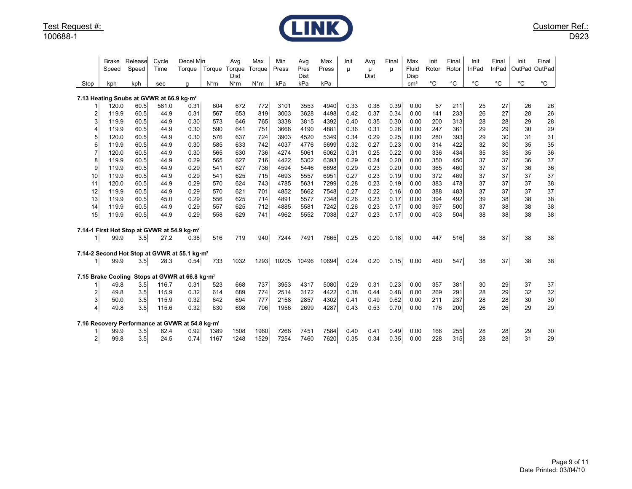

|                    | <b>Brake</b><br>Speed | Release<br>Speed | Cycle<br>Time                                            | Decel Min<br>Torque | Torque | Avg<br>Torque<br>Dist | Max<br>Torque | Min<br>Press | Avg<br>Pres<br>Dist | Max<br>Press | Init<br>μ | Avg<br>μ<br>Dist | Final<br>μ | Max<br>Fluid<br>Disp | Init<br>Rotor | Final<br>Rotor | Init<br>InPad | Final<br>InPad | Init<br>OutPad | Final<br>OutPad |
|--------------------|-----------------------|------------------|----------------------------------------------------------|---------------------|--------|-----------------------|---------------|--------------|---------------------|--------------|-----------|------------------|------------|----------------------|---------------|----------------|---------------|----------------|----------------|-----------------|
| Stop               | kph                   | kph              | sec                                                      | g                   | $N^*m$ | $N^*m$                | $N^*m$        | kPa          | kPa                 | kPa          |           |                  |            | cm <sup>3</sup>      | $^{\circ}$ C  | $^{\circ}$ C   | $^{\circ}C$   | $^{\circ}$ C   | $^{\circ}$ C   | $^{\circ}$ C    |
|                    |                       |                  | 7.13 Heating Snubs at GVWR at 66.9 kg·m <sup>2</sup>     |                     |        |                       |               |              |                     |              |           |                  |            |                      |               |                |               |                |                |                 |
|                    | 120.0                 | 60.5             | 581.0                                                    | 0.31                | 604    | 672                   | 772           | 3101         | 3553                | 4940         | 0.33      | 0.38             | 0.39       | 0.00                 | 57            | 211            | 25            | 27             | 26             | 26              |
| 2                  | 119.9                 | 60.5             | 44.9                                                     | 0.31                | 567    | 653                   | 819           | 3003         | 3628                | 4498         | 0.42      | 0.37             | 0.34       | 0.00                 | 141           | 233            | 26            | 27             | 28             | 26              |
| 3                  | 119.9                 | 60.5             | 44.9                                                     | 0.30                | 573    | 646                   | 765           | 3338         | 3815                | 4392         | 0.40      | 0.35             | 0.30       | 0.00                 | 200           | 313            | 28            | 28             | 29             | 28              |
|                    | 119.9                 | 60.5             | 44.9                                                     | 0.30                | 590    | 641                   | 751           | 3666         | 4190                | 4881         | 0.36      | 0.31             | 0.26       | 0.00                 | 247           | 361            | 29            | 29             | 30             | 29              |
| 5                  | 120.0                 | 60.5             | 44.9                                                     | 0.30                | 576    | 637                   | 724           | 3903         | 4520                | 5349         | 0.34      | 0.29             | 0.25       | 0.00                 | 280           | 393            | 29            | 30             | 31             | 31              |
| 6                  | 119.9                 | 60.5             | 44.9                                                     | 0.30                | 585    | 633                   | 742           | 4037         | 4776                | 5699         | 0.32      | 0.27             | 0.23       | 0.00                 | 314           | 422            | 32            | 30             | 35             | 35 <sub>1</sub> |
|                    | 120.0                 | 60.5             | 44.9                                                     | 0.30                | 565    | 630                   | 736           | 4274         | 5061                | 6062         | 0.31      | 0.25             | 0.22       | 0.00                 | 336           | 434            | 35            | 35             | 35             | 36              |
| 8                  | 119.9                 | 60.5             | 44.9                                                     | 0.29                | 565    | 627                   | 716           | 4422         | 5302                | 6393         | 0.29      | 0.24             | 0.20       | 0.00                 | 350           | 450            | 37            | 37             | 36             | 37              |
| 9                  | 119.9                 | 60.5             | 44.9                                                     | 0.29                | 541    | 627                   | 736           | 4594         | 5446                | 6698         | 0.29      | 0.23             | 0.20       | 0.00                 | 365           | 460            | 37            | 37             | 36             | 36              |
| 10                 | 119.9                 | 60.5             | 44.9                                                     | 0.29                | 541    | 625                   | 715           | 4693         | 5557                | 6951         | 0.27      | 0.23             | 0.19       | 0.00                 | 372           | 469            | 37            | 37             | 37             | 37              |
| 11                 | 120.0                 | 60.5             | 44.9                                                     | 0.29                | 570    | 624                   | 743           | 4785         | 5631                | 7299         | 0.28      | 0.23             | 0.19       | 0.00                 | 383           | 478            | 37            | 37             | 37             | 38              |
| 12                 | 119.9                 | 60.5             | 44.9                                                     | 0.29                | 570    | 621                   | 701           | 4852         | 5662                | 7548         | 0.27      | 0.22             | 0.16       | 0.00                 | 388           | 483            | 37            | 37             | 37             | 37              |
| 13                 | 119.9                 | 60.5             | 45.0                                                     | 0.29                | 556    | 625                   | 714           | 4891         | 5577                | 7348         | 0.26      | 0.23             | 0.17       | 0.00                 | 394           | 492            | 39            | 38             | 38             | 38              |
| 14                 | 119.9                 | 60.5             | 44.9                                                     | 0.29                | 557    | 625                   | 712           | 4885         | 5581                | 7242         | 0.26      | 0.23             | 0.17       | 0.00                 | 397           | 500            | 37            | 38             | 38             | 38              |
| 15                 | 119.9                 | 60.5             | 44.9                                                     | 0.29                | 558    | 629                   | 741           | 4962         | 5552                | 7038         | 0.27      | 0.23             | 0.17       | 0.00                 | 403           | 504            | 38            | 38             | 38             | 38              |
|                    |                       |                  | 7.14-1 First Hot Stop at GVWR at 54.9 kg·m <sup>2</sup>  |                     |        |                       |               |              |                     |              |           |                  |            |                      |               |                |               |                |                |                 |
| 1 <sub>l</sub>     | 99.9                  | 3.5              | 27.2                                                     | 0.38                | 516    | 719                   | 940           | 7244         | 7491                | 7665         | 0.25      | 0.20             | 0.18       | 0.00                 | 447           | 516            | 38            | 37             | 38             | 38              |
|                    |                       |                  | 7.14-2 Second Hot Stop at GVWR at 55.1 kg·m <sup>2</sup> |                     |        |                       |               |              |                     |              |           |                  |            |                      |               |                |               |                |                |                 |
| 11                 | 99.9                  | 3.5              | 28.3                                                     | 0.54                | 733    | 1032                  | 1293          | 10205        | 10496               | 10694        | 0.24      | 0.20             | 0.15       | 0.00                 | 460           | 547            | 38            | 37             | 38             | 38              |
| 7.15 Brake Cooling |                       |                  | Stops at GVWR at 66.8 kg·m <sup>2</sup>                  |                     |        |                       |               |              |                     |              |           |                  |            |                      |               |                |               |                |                |                 |
|                    | 49.8                  | 3.5              | 116.7                                                    | 0.31                | 523    | 668                   | 737           | 3953         | 4317                | 5080         | 0.29      | 0.31             | 0.23       | 0.00                 | 357           | 381            | 30            | 29             | 37             | 37              |
| 2                  | 49.8                  | 3.5              | 115.9                                                    | 0.32                | 614    | 689                   | 774           | 2514         | 3172                | 4422         | 0.38      | 0.44             | 0.48       | 0.00                 | 269           | 291            | 28            | 29             | 32             | $32\,$          |
| 3                  | 50.0                  | 3.5              | 115.9                                                    | 0.32                | 642    | 694                   | 777           | 2158         | 2857                | 4302         | 0.41      | 0.49             | 0.62       | 0.00                 | 211           | 237            | 28            | 28             | 30             | 30              |
| $\overline{4}$     | 49.8                  | 3.5              | 115.6                                                    | 0.32                | 630    | 698                   | 796           | 1956         | 2699                | 4287         | 0.43      | 0.53             | 0.70       | 0.00                 | 176           | 200            | 26            | 26             | 29             | 29              |
|                    |                       |                  | 7.16 Recovery Performance at GVWR at 54.8 kg·m           |                     |        |                       |               |              |                     |              |           |                  |            |                      |               |                |               |                |                |                 |
|                    | 99.9                  | 3.5              | 62.4                                                     | 0.92                | 1389   | 1508                  | 1960          | 7266         | 7451                | 7584         | 0.40      | 0.41             | 0.49       | 0.00                 | 166           | 255            | 28            | 28             | 29             | 30              |
| $\overline{2}$     | 99.8                  | 3.5              | 24.5                                                     | 0.74                | 1167   | 1248                  | 1529          | 7254         | 7460                | 7620         | 0.35      | 0.34             | 0.35       | 0.00                 | 228           | 315            | 28            | 28             | 31             | 29              |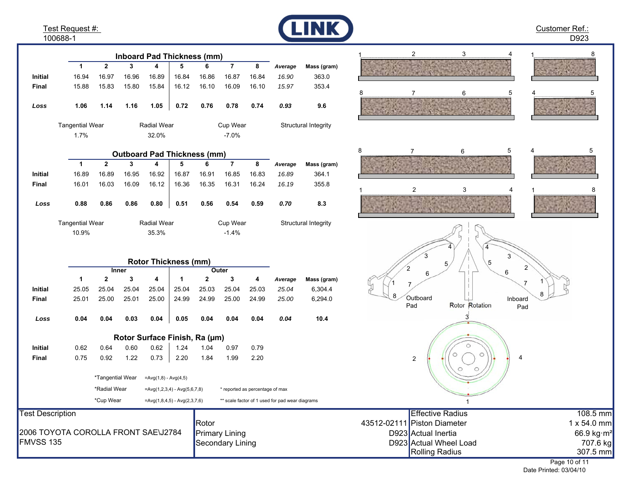Test Request #: 100688-1

**Initial**

**InitialFinal**

*Loss*

**Final**

*Loss*

10.9%Tangential Wear

1.7%

**Initial**

**Final**

*Loss*

**Initial**

**Final**

**12345678**

**Inboard Pad Thickness (mm)**

**12345678**

**Outboard Pad Thickness (mm)**

32.0%

Tangential Wear Radial Wear Cup Wear

**12341234**

**Rotor Thickness (mm)**

35.3%Radial Wear

**Rotor Surface Finish, Ra (µm)**

0.62 0.64 0.60 0.62 1.24 1.04 0.97 0.79

0.75 0.92 1.22 0.73 2.20 1.84 1.99 2.20

\*Tangential Wear = $Avg(1,8) - Avg(4,5)$ 

**Inner**

25.05 25.04 25.04 25.04 25.04 25.03 25.04 25.03 *25.04* 6,304.4

25.01 25.00 25.01 25.00 24.99 24.99 25.00 24.99 *25.00* 6,294.0

**0.04 0.04 0.03 0.04 0.05 0.04 0.04 0.04** *0.04* **10.4**

**Outer**

16.89 16.89 16.95 16.92 16.87 16.91 16.85 16.83 *16.89* 364.1

16.01 16.03 16.09 16.12 16.36 16.35 16.31 16.24 *16.19* 355.8

**0.88 0.86 0.86 0.80 0.51 0.56 0.54 0.59** *0.70* **8.3**

16.94 16.97 16.96 16.89 16.84 16.86 16.87 16.84 *16.90* 363.0 15.88 15.83 15.80 15.84 16.12 16.10 16.09 16.10 *15.97* 353.4

**1.06 1.14 1.16 1.05 0.72 0.76 0.78 0.74** *0.93* **9.6**

-7.0%

-1.4%Cup Wear



*Average* **Mass (gram)**

*Average* **Mass (gram)**

Structural Integrity

Structural Integrity

*Average* **Mass (gram)**









| *Radial Wear                        | $=Avg(1,2,3,4) - Avg(5,6,7,8)$ | * reported as percentage of max                 |                             |                                |
|-------------------------------------|--------------------------------|-------------------------------------------------|-----------------------------|--------------------------------|
| *Cup Wear                           | $=Avg(1,8,4,5) - Avg(2,3,7,6)$ | ** scale factor of 1 used for pad wear diagrams |                             |                                |
| <b>Test Description</b>             |                                |                                                 | Effective Radius            | 108.5 mm                       |
|                                     |                                | <b>IRotor</b>                                   | 43512-02111 Piston Diameter | 1 x 54.0 mm                    |
| 2006 TOYOTA COROLLA FRONT SAE\J2784 |                                | <b>Primary Lining</b>                           | D923 Actual Inertia         | 66.9 kg $\cdot$ m <sup>2</sup> |
| <b>FMVSS 135</b>                    |                                | Secondary Lining                                | D923 Actual Wheel Load      | 707.6 kg                       |
|                                     |                                |                                                 | Rolling Radius              | 307.5 mm                       |
|                                     |                                |                                                 |                             | .                              |

Page 10 of 11 Date Printed: 03/04/10